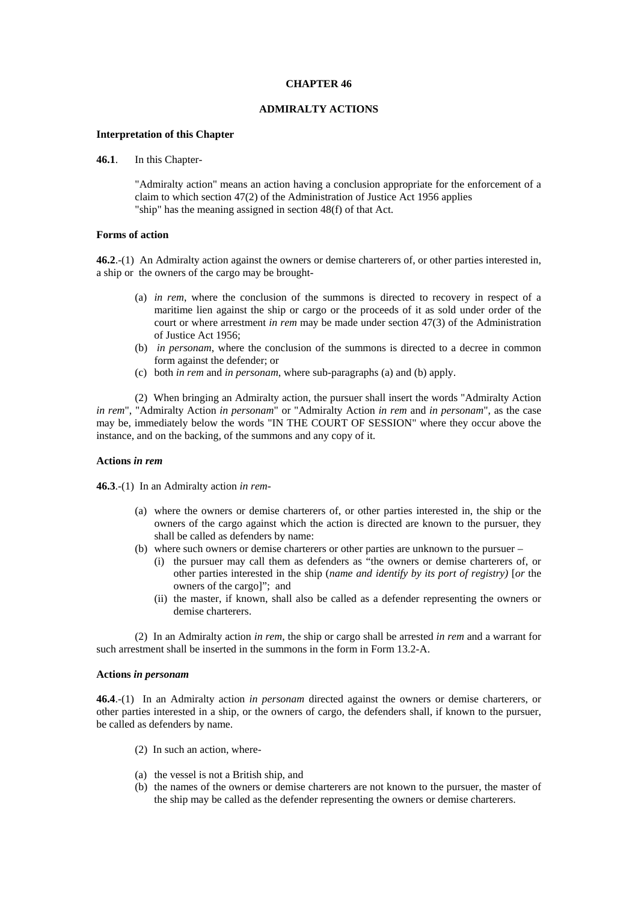### **CHAPTER 46**

# **ADMIRALTY ACTIONS**

### **Interpretation of this Chapter**

**46.1**. In this Chapter-

"Admiralty action" means an action having a conclusion appropriate for the enforcement of a claim to which section 47(2) of the Administration of Justice Act 1956 applies "ship" has the meaning assigned in section 48(f) of that Act.

### **Forms of action**

**46.2**.-(1) An Admiralty action against the owners or demise charterers of, or other parties interested in, a ship or the owners of the cargo may be brought-

- (a) *in rem*, where the conclusion of the summons is directed to recovery in respect of a maritime lien against the ship or cargo or the proceeds of it as sold under order of the court or where arrestment *in rem* may be made under section 47(3) of the Administration of Justice Act 1956;
- (b) *in personam*, where the conclusion of the summons is directed to a decree in common form against the defender; or
- (c) both *in rem* and *in personam*, where sub-paragraphs (a) and (b) apply.

(2) When bringing an Admiralty action, the pursuer shall insert the words "Admiralty Action *in rem*", "Admiralty Action *in personam*" or "Admiralty Action *in rem* and *in personam*", as the case may be, immediately below the words "IN THE COURT OF SESSION" where they occur above the instance, and on the backing, of the summons and any copy of it.

#### **Actions** *in rem*

**46.3**.-(1) In an Admiralty action *in rem*-

- (a) where the owners or demise charterers of, or other parties interested in, the ship or the owners of the cargo against which the action is directed are known to the pursuer, they shall be called as defenders by name:
- (b) where such owners or demise charterers or other parties are unknown to the pursuer
	- (i) the pursuer may call them as defenders as "the owners or demise charterers of, or other parties interested in the ship (*name and identify by its port of registry)* [*or* the owners of the cargo]"; and
	- (ii) the master, if known, shall also be called as a defender representing the owners or demise charterers.

(2) In an Admiralty action *in rem*, the ship or cargo shall be arrested *in rem* and a warrant for such arrestment shall be inserted in the summons in the form in Form 13.2-A.

### **Actions** *in personam*

**46.4**.-(1) In an Admiralty action *in personam* directed against the owners or demise charterers, or other parties interested in a ship, or the owners of cargo, the defenders shall, if known to the pursuer, be called as defenders by name.

- (2) In such an action, where-
- (a) the vessel is not a British ship, and
- (b) the names of the owners or demise charterers are not known to the pursuer, the master of the ship may be called as the defender representing the owners or demise charterers.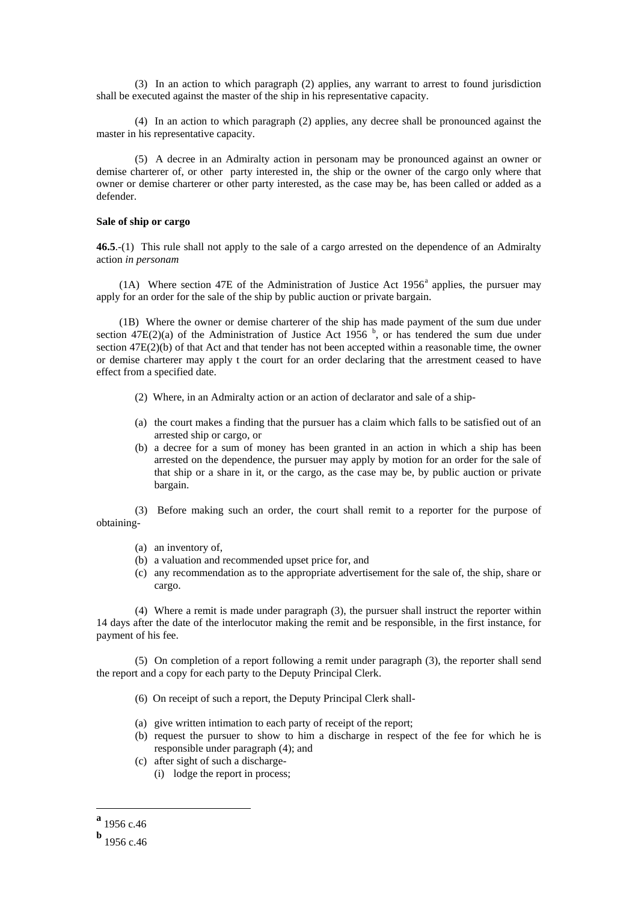(3) In an action to which paragraph (2) applies, any warrant to arrest to found jurisdiction shall be executed against the master of the ship in his representative capacity.

(4) In an action to which paragraph (2) applies, any decree shall be pronounced against the master in his representative capacity.

(5) A decree in an Admiralty action in personam may be pronounced against an owner or demise charterer of, or other party interested in, the ship or the owner of the cargo only where that owner or demise charterer or other party interested, as the case may be, has been called or added as a defender.

### **Sale of ship or cargo**

**46.5**.-(1) This rule shall not apply to the sale of a cargo arrested on the dependence of an Admiralty action *in personam*

(1A) Where section 47E of the Administr[a](#page-1-0)tion of Justice Act  $1956<sup>a</sup>$  applies, the pursuer may apply for an order for the sale of the ship by public auction or private bargain.

(1B) Where the owner or demise charterer of the ship has made payment of the sum due under section 47E(2)(a) of the Administration of Justice Act 1956  $<sup>b</sup>$  $<sup>b</sup>$  $<sup>b</sup>$ , or has tendered the sum due under</sup> section 47E(2)(b) of that Act and that tender has not been accepted within a reasonable time, the owner or demise charterer may apply t the court for an order declaring that the arrestment ceased to have effect from a specified date.

- (2) Where, in an Admiralty action or an action of declarator and sale of a ship-
- (a) the court makes a finding that the pursuer has a claim which falls to be satisfied out of an arrested ship or cargo, or
- (b) a decree for a sum of money has been granted in an action in which a ship has been arrested on the dependence, the pursuer may apply by motion for an order for the sale of that ship or a share in it, or the cargo, as the case may be, by public auction or private bargain.

(3) Before making such an order, the court shall remit to a reporter for the purpose of obtaining-

- (a) an inventory of,
- (b) a valuation and recommended upset price for, and
- (c) any recommendation as to the appropriate advertisement for the sale of, the ship, share or cargo.

(4) Where a remit is made under paragraph (3), the pursuer shall instruct the reporter within 14 days after the date of the interlocutor making the remit and be responsible, in the first instance, for payment of his fee.

(5) On completion of a report following a remit under paragraph (3), the reporter shall send the report and a copy for each party to the Deputy Principal Clerk.

- (6) On receipt of such a report, the Deputy Principal Clerk shall-
- (a) give written intimation to each party of receipt of the report;
- (b) request the pursuer to show to him a discharge in respect of the fee for which he is responsible under paragraph (4); and
- (c) after sight of such a discharge-
	- (i) lodge the report in process;

<span id="page-1-0"></span>**<sup>a</sup>** 1956 c.46

<span id="page-1-1"></span>**<sup>b</sup>** 1956 c.46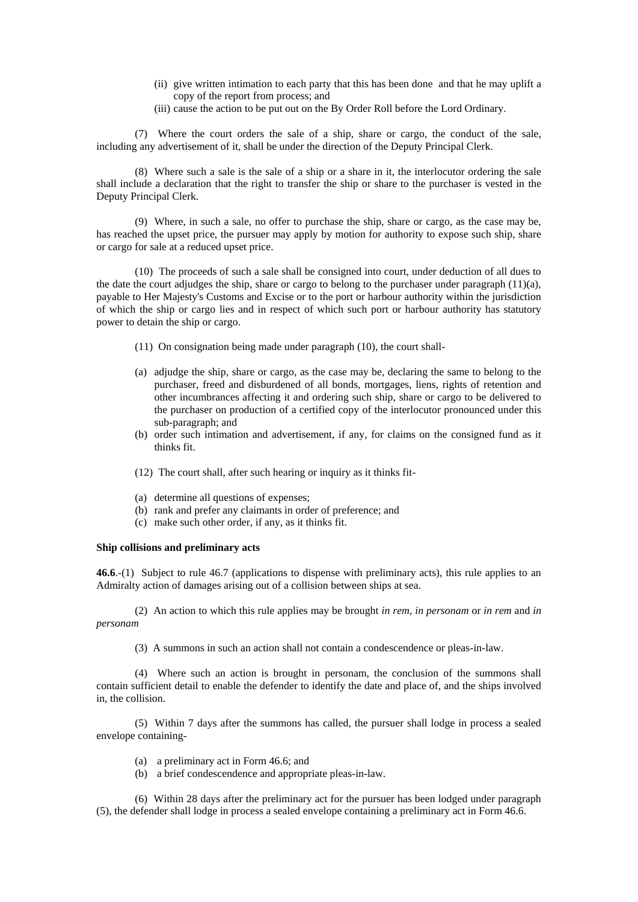- (ii) give written intimation to each party that this has been done and that he may uplift a copy of the report from process; and
- (iii) cause the action to be put out on the By Order Roll before the Lord Ordinary.

(7) Where the court orders the sale of a ship, share or cargo, the conduct of the sale, including any advertisement of it, shall be under the direction of the Deputy Principal Clerk.

(8) Where such a sale is the sale of a ship or a share in it, the interlocutor ordering the sale shall include a declaration that the right to transfer the ship or share to the purchaser is vested in the Deputy Principal Clerk.

(9) Where, in such a sale, no offer to purchase the ship, share or cargo, as the case may be, has reached the upset price, the pursuer may apply by motion for authority to expose such ship, share or cargo for sale at a reduced upset price.

(10) The proceeds of such a sale shall be consigned into court, under deduction of all dues to the date the court adjudges the ship, share or cargo to belong to the purchaser under paragraph (11)(a), payable to Her Majesty's Customs and Excise or to the port or harbour authority within the jurisdiction of which the ship or cargo lies and in respect of which such port or harbour authority has statutory power to detain the ship or cargo.

- (11) On consignation being made under paragraph (10), the court shall-
- (a) adjudge the ship, share or cargo, as the case may be, declaring the same to belong to the purchaser, freed and disburdened of all bonds, mortgages, liens, rights of retention and other incumbrances affecting it and ordering such ship, share or cargo to be delivered to the purchaser on production of a certified copy of the interlocutor pronounced under this sub-paragraph; and
- (b) order such intimation and advertisement, if any, for claims on the consigned fund as it thinks fit.
- (12) The court shall, after such hearing or inquiry as it thinks fit-
- (a) determine all questions of expenses;
- (b) rank and prefer any claimants in order of preference; and
- (c) make such other order, if any, as it thinks fit.

### **Ship collisions and preliminary acts**

**46.6**.-(1) Subject to rule 46.7 (applications to dispense with preliminary acts), this rule applies to an Admiralty action of damages arising out of a collision between ships at sea.

(2) An action to which this rule applies may be brought *in rem, in personam* or *in rem* and *in personam*

(3) A summons in such an action shall not contain a condescendence or pleas-in-law.

(4) Where such an action is brought in personam, the conclusion of the summons shall contain sufficient detail to enable the defender to identify the date and place of, and the ships involved in, the collision.

(5) Within 7 days after the summons has called, the pursuer shall lodge in process a sealed envelope containing-

- (a) a preliminary act in Form 46.6; and
- (b) a brief condescendence and appropriate pleas-in-law.

(6) Within 28 days after the preliminary act for the pursuer has been lodged under paragraph (5), the defender shall lodge in process a sealed envelope containing a preliminary act in Form 46.6.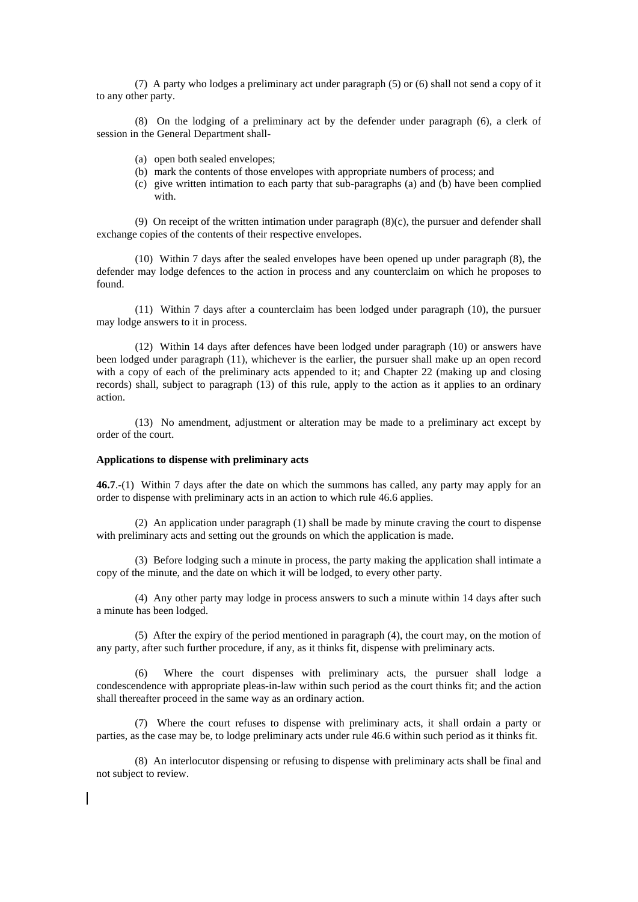(7) A party who lodges a preliminary act under paragraph (5) or (6) shall not send a copy of it to any other party.

(8) On the lodging of a preliminary act by the defender under paragraph (6), a clerk of session in the General Department shall-

- (a) open both sealed envelopes;
- (b) mark the contents of those envelopes with appropriate numbers of process; and
- (c) give written intimation to each party that sub-paragraphs (a) and (b) have been complied with.

(9) On receipt of the written intimation under paragraph  $(8)(c)$ , the pursuer and defender shall exchange copies of the contents of their respective envelopes.

(10) Within 7 days after the sealed envelopes have been opened up under paragraph (8), the defender may lodge defences to the action in process and any counterclaim on which he proposes to found.

(11) Within 7 days after a counterclaim has been lodged under paragraph (10), the pursuer may lodge answers to it in process.

(12) Within 14 days after defences have been lodged under paragraph (10) or answers have been lodged under paragraph (11), whichever is the earlier, the pursuer shall make up an open record with a copy of each of the preliminary acts appended to it; and Chapter 22 (making up and closing records) shall, subject to paragraph (13) of this rule, apply to the action as it applies to an ordinary action.

(13) No amendment, adjustment or alteration may be made to a preliminary act except by order of the court.

#### **Applications to dispense with preliminary acts**

**46.7**.-(1) Within 7 days after the date on which the summons has called, any party may apply for an order to dispense with preliminary acts in an action to which rule 46.6 applies.

(2) An application under paragraph (1) shall be made by minute craving the court to dispense with preliminary acts and setting out the grounds on which the application is made.

(3) Before lodging such a minute in process, the party making the application shall intimate a copy of the minute, and the date on which it will be lodged, to every other party.

(4) Any other party may lodge in process answers to such a minute within 14 days after such a minute has been lodged.

(5) After the expiry of the period mentioned in paragraph (4), the court may, on the motion of any party, after such further procedure, if any, as it thinks fit, dispense with preliminary acts.

Where the court dispenses with preliminary acts, the pursuer shall lodge a condescendence with appropriate pleas-in-law within such period as the court thinks fit; and the action shall thereafter proceed in the same way as an ordinary action.

(7) Where the court refuses to dispense with preliminary acts, it shall ordain a party or parties, as the case may be, to lodge preliminary acts under rule 46.6 within such period as it thinks fit.

(8) An interlocutor dispensing or refusing to dispense with preliminary acts shall be final and not subject to review.